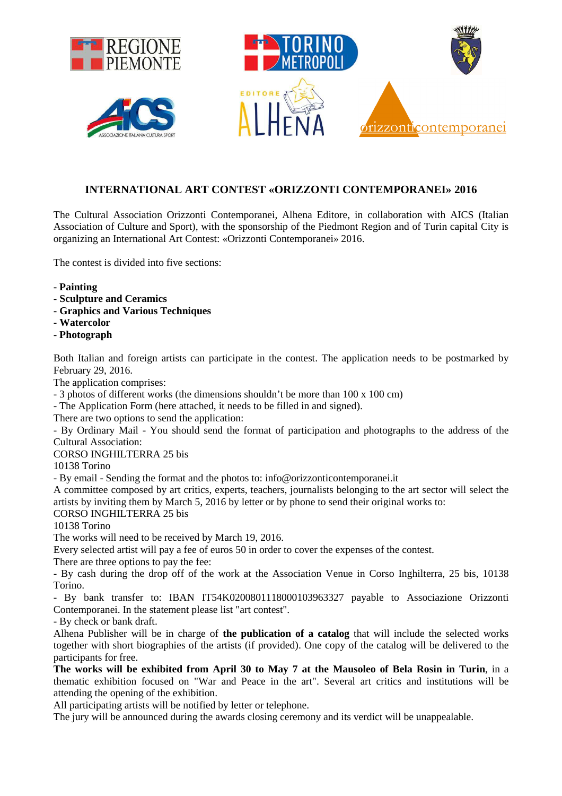

## **INTERNATIONAL ART CONTEST «ORIZZONTI CONTEMPORANEI» 2016**

The Cultural Association Orizzonti Contemporanei, Alhena Editore, in collaboration with AICS (Italian Association of Culture and Sport), with the sponsorship of the Piedmont Region and of Turin capital City is organizing an International Art Contest: «Orizzonti Contemporanei» 2016.

The contest is divided into five sections:

- **Painting**
- **Sculpture and Ceramics**
- **Graphics and Various Techniques**
- **Watercolor**
- **Photograph**

Both Italian and foreign artists can participate in the contest. The application needs to be postmarked by February 29, 2016.

The application comprises:

- 3 photos of different works (the dimensions shouldn't be more than 100 x 100 cm)

- The Application Form (here attached, it needs to be filled in and signed).

There are two options to send the application:

- By Ordinary Mail - You should send the format of participation and photographs to the address of the Cultural Association:

CORSO INGHILTERRA 25 bis

10138 Torino

- By email - Sending the format and the photos to: info@orizzonticontemporanei.it

A committee composed by art critics, experts, teachers, journalists belonging to the art sector will select the artists by inviting them by March 5, 2016 by letter or by phone to send their original works to:

CORSO INGHILTERRA 25 bis

10138 Torino

The works will need to be received by March 19, 2016.

Every selected artist will pay a fee of euros 50 in order to cover the expenses of the contest.

There are three options to pay the fee:

- By cash during the drop off of the work at the Association Venue in Corso Inghilterra, 25 bis, 10138 Torino.

- By bank transfer to: IBAN IT54K0200801118000103963327 payable to Associazione Orizzonti Contemporanei. In the statement please list "art contest".

- By check or bank draft.

Alhena Publisher will be in charge of **the publication of a catalog** that will include the selected works together with short biographies of the artists (if provided). One copy of the catalog will be delivered to the participants for free.

**The works will be exhibited from April 30 to May 7 at the Mausoleo of Bela Rosin in Turin**, in a thematic exhibition focused on "War and Peace in the art". Several art critics and institutions will be attending the opening of the exhibition.

All participating artists will be notified by letter or telephone.

The jury will be announced during the awards closing ceremony and its verdict will be unappealable.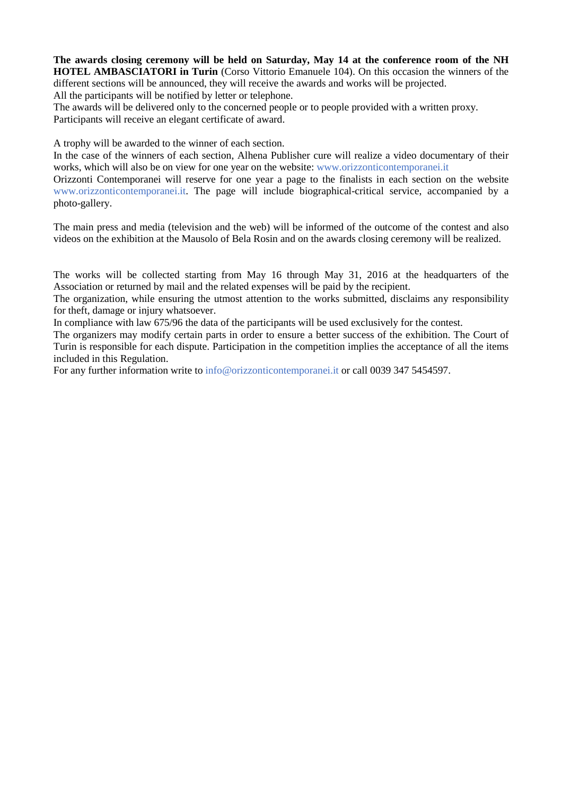**The awards closing ceremony will be held on Saturday, May 14 at the conference room of the NH HOTEL AMBASCIATORI in Turin** (Corso Vittorio Emanuele 104). On this occasion the winners of the different sections will be announced, they will receive the awards and works will be projected.

All the participants will be notified by letter or telephone.

The awards will be delivered only to the concerned people or to people provided with a written proxy. Participants will receive an elegant certificate of award.

A trophy will be awarded to the winner of each section.

In the case of the winners of each section, Alhena Publisher cure will realize a video documentary of their works, which will also be on view for one year on the website: www.orizzonticontemporanei.it

Orizzonti Contemporanei will reserve for one year a page to the finalists in each section on the website www.orizzonticontemporanei.it. The page will include biographical-critical service, accompanied by a photo-gallery.

The main press and media (television and the web) will be informed of the outcome of the contest and also videos on the exhibition at the Mausolo of Bela Rosin and on the awards closing ceremony will be realized.

The works will be collected starting from May 16 through May 31, 2016 at the headquarters of the Association or returned by mail and the related expenses will be paid by the recipient.

The organization, while ensuring the utmost attention to the works submitted, disclaims any responsibility for theft, damage or injury whatsoever.

In compliance with law 675/96 the data of the participants will be used exclusively for the contest.

The organizers may modify certain parts in order to ensure a better success of the exhibition. The Court of Turin is responsible for each dispute. Participation in the competition implies the acceptance of all the items included in this Regulation.

For any further information write to info@orizzonticontemporanei.it or call 0039 347 5454597.